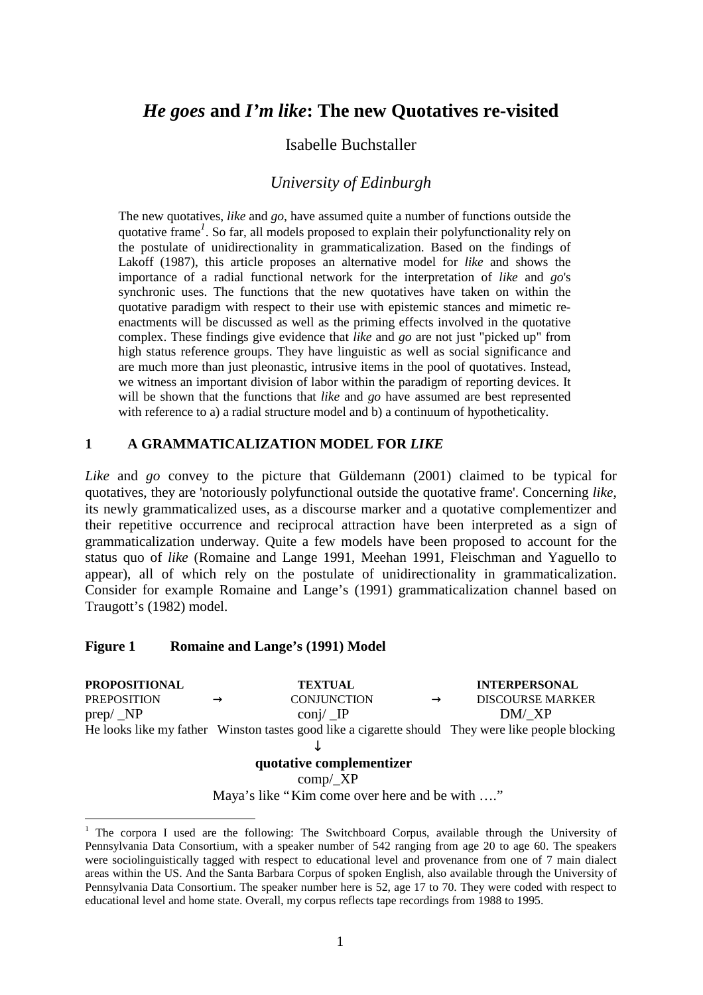# *He goes* **and** *I'm like***: The new Quotatives re-visited**

# Isabelle Buchstaller

# *University of Edinburgh*

The new quotatives, *like* and *go*, have assumed quite a number of functions outside the quotative frame*<sup>1</sup>* . So far, all models proposed to explain their polyfunctionality rely on the postulate of unidirectionality in grammaticalization. Based on the findings of Lakoff (1987), this article proposes an alternative model for *like* and shows the importance of a radial functional network for the interpretation of *like* and *go*'s synchronic uses. The functions that the new quotatives have taken on within the quotative paradigm with respect to their use with epistemic stances and mimetic reenactments will be discussed as well as the priming effects involved in the quotative complex. These findings give evidence that *like* and *go* are not just "picked up" from high status reference groups. They have linguistic as well as social significance and are much more than just pleonastic, intrusive items in the pool of quotatives. Instead, we witness an important division of labor within the paradigm of reporting devices. It will be shown that the functions that *like* and *go* have assumed are best represented with reference to a) a radial structure model and b) a continuum of hypotheticality.

#### **1 A GRAMMATICALIZATION MODEL FOR** *LIKE*

*Like* and *go* convey to the picture that Güldemann (2001) claimed to be typical for quotatives, they are 'notoriously polyfunctional outside the quotative frame'. Concerning *like*, its newly grammaticalized uses, as a discourse marker and a quotative complementizer and their repetitive occurrence and reciprocal attraction have been interpreted as a sign of grammaticalization underway. Quite a few models have been proposed to account for the status quo of *like* (Romaine and Lange 1991, Meehan 1991, Fleischman and Yaguello to appear), all of which rely on the postulate of unidirectionality in grammaticalization. Consider for example Romaine and Lange's (1991) grammaticalization channel based on Traugott's (1982) model.

#### **Figure 1 Romaine and Lange's (1991) Model**

 $\overline{a}$ 

**PROPOSITIONAL TEXTUAL INTERPERSONAL** PREPOSITION **®** CONJUNCTION **®** DISCOURSE MARKER  $prep/\text{NP}$  conj/  $IP$  DM/\_XP He looks like my father Winston tastes good like a cigarette should They were like people blocking ↓

#### **quotative complementizer**

comp/\_XP

Maya's like "Kim come over here and be with ...."

<sup>&</sup>lt;sup>1</sup> The corpora I used are the following: The Switchboard Corpus, available through the University of Pennsylvania Data Consortium, with a speaker number of 542 ranging from age 20 to age 60. The speakers were sociolinguistically tagged with respect to educational level and provenance from one of 7 main dialect areas within the US. And the Santa Barbara Corpus of spoken English, also available through the University of Pennsylvania Data Consortium. The speaker number here is 52, age 17 to 70. They were coded with respect to educational level and home state. Overall, my corpus reflects tape recordings from 1988 to 1995.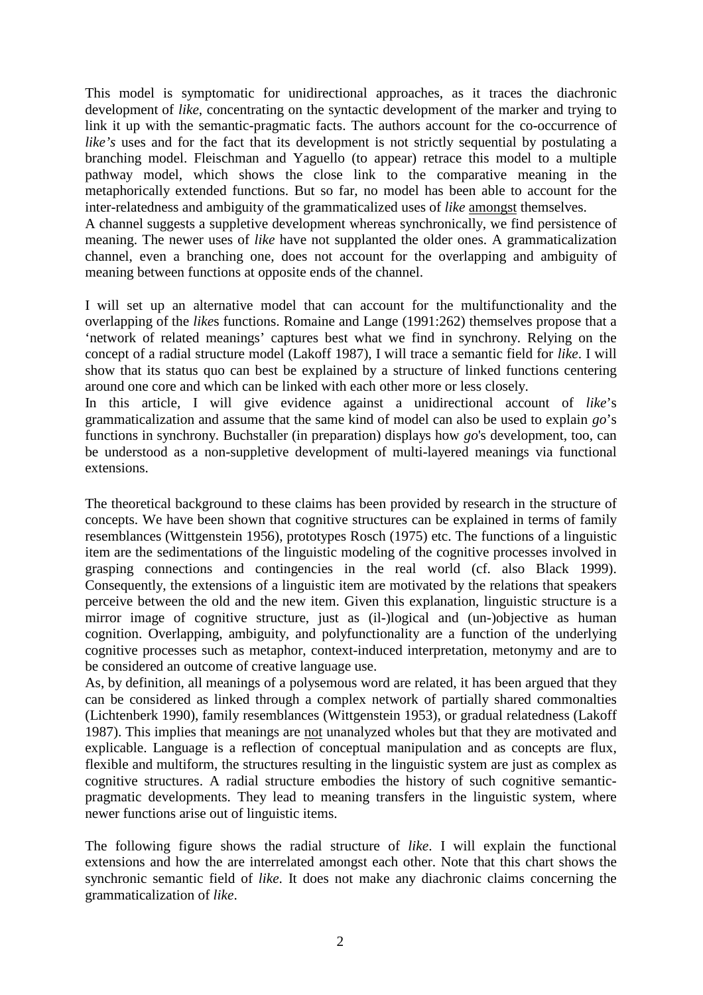This model is symptomatic for unidirectional approaches, as it traces the diachronic development of *like*, concentrating on the syntactic development of the marker and trying to link it up with the semantic-pragmatic facts. The authors account for the co-occurrence of *like's* uses and for the fact that its development is not strictly sequential by postulating a branching model. Fleischman and Yaguello (to appear) retrace this model to a multiple pathway model, which shows the close link to the comparative meaning in the metaphorically extended functions. But so far, no model has been able to account for the inter-relatedness and ambiguity of the grammaticalized uses of *like* amongst themselves.

A channel suggests a suppletive development whereas synchronically, we find persistence of meaning. The newer uses of *like* have not supplanted the older ones. A grammaticalization channel, even a branching one, does not account for the overlapping and ambiguity of meaning between functions at opposite ends of the channel.

I will set up an alternative model that can account for the multifunctionality and the overlapping of the *like*s functions. Romaine and Lange (1991:262) themselves propose that a 'network of related meanings' captures best what we find in synchrony. Relying on the concept of a radial structure model (Lakoff 1987), I will trace a semantic field for *like*. I will show that its status quo can best be explained by a structure of linked functions centering around one core and which can be linked with each other more or less closely.

In this article, I will give evidence against a unidirectional account of *like*'s grammaticalization and assume that the same kind of model can also be used to explain *go*'s functions in synchrony. Buchstaller (in preparation) displays how *go*'s development, too, can be understood as a non-suppletive development of multi-layered meanings via functional extensions.

The theoretical background to these claims has been provided by research in the structure of concepts. We have been shown that cognitive structures can be explained in terms of family resemblances (Wittgenstein 1956), prototypes Rosch (1975) etc. The functions of a linguistic item are the sedimentations of the linguistic modeling of the cognitive processes involved in grasping connections and contingencies in the real world (cf. also Black 1999). Consequently, the extensions of a linguistic item are motivated by the relations that speakers perceive between the old and the new item. Given this explanation, linguistic structure is a mirror image of cognitive structure, just as (il-)logical and (un-)objective as human cognition. Overlapping, ambiguity, and polyfunctionality are a function of the underlying cognitive processes such as metaphor, context-induced interpretation, metonymy and are to be considered an outcome of creative language use.

As, by definition, all meanings of a polysemous word are related, it has been argued that they can be considered as linked through a complex network of partially shared commonalties (Lichtenberk 1990), family resemblances (Wittgenstein 1953), or gradual relatedness (Lakoff 1987). This implies that meanings are not unanalyzed wholes but that they are motivated and explicable. Language is a reflection of conceptual manipulation and as concepts are flux, flexible and multiform, the structures resulting in the linguistic system are just as complex as cognitive structures. A radial structure embodies the history of such cognitive semanticpragmatic developments. They lead to meaning transfers in the linguistic system, where newer functions arise out of linguistic items.

The following figure shows the radial structure of *like*. I will explain the functional extensions and how the are interrelated amongst each other. Note that this chart shows the synchronic semantic field of *like*. It does not make any diachronic claims concerning the grammaticalization of *like*.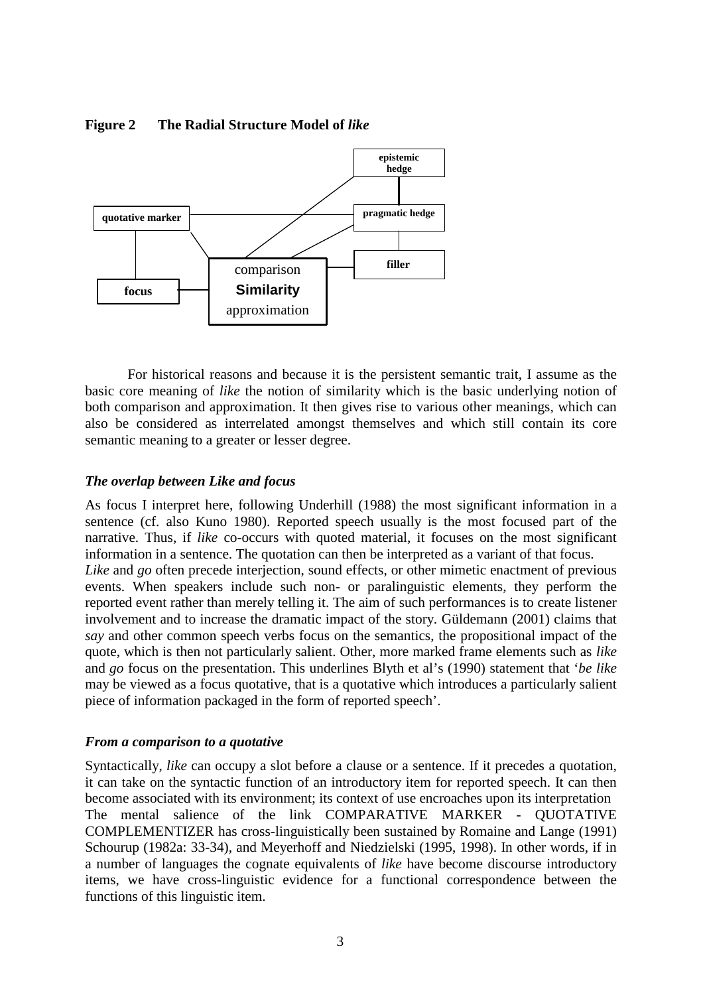

### **Figure 2 The Radial Structure Model of** *like*

For historical reasons and because it is the persistent semantic trait, I assume as the basic core meaning of *like* the notion of similarity which is the basic underlying notion of both comparison and approximation. It then gives rise to various other meanings, which can also be considered as interrelated amongst themselves and which still contain its core semantic meaning to a greater or lesser degree.

# *The overlap between Like and focus*

As focus I interpret here, following Underhill (1988) the most significant information in a sentence (cf. also Kuno 1980). Reported speech usually is the most focused part of the narrative. Thus, if *like* co-occurs with quoted material, it focuses on the most significant information in a sentence. The quotation can then be interpreted as a variant of that focus. *Like* and *go* often precede interjection, sound effects, or other mimetic enactment of previous events. When speakers include such non- or paralinguistic elements, they perform the reported event rather than merely telling it. The aim of such performances is to create listener involvement and to increase the dramatic impact of the story. Güldemann (2001) claims that *say* and other common speech verbs focus on the semantics, the propositional impact of the quote, which is then not particularly salient. Other, more marked frame elements such as *like* and *go* focus on the presentation. This underlines Blyth et al's (1990) statement that '*be like* may be viewed as a focus quotative, that is a quotative which introduces a particularly salient piece of information packaged in the form of reported speech'.

### *From a comparison to a quotative*

Syntactically, *like* can occupy a slot before a clause or a sentence. If it precedes a quotation, it can take on the syntactic function of an introductory item for reported speech. It can then become associated with its environment; its context of use encroaches upon its interpretation The mental salience of the link COMPARATIVE MARKER - QUOTATIVE COMPLEMENTIZER has cross-linguistically been sustained by Romaine and Lange (1991) Schourup (1982a: 33-34), and Meyerhoff and Niedzielski (1995, 1998). In other words, if in a number of languages the cognate equivalents of *like* have become discourse introductory items, we have cross-linguistic evidence for a functional correspondence between the functions of this linguistic item.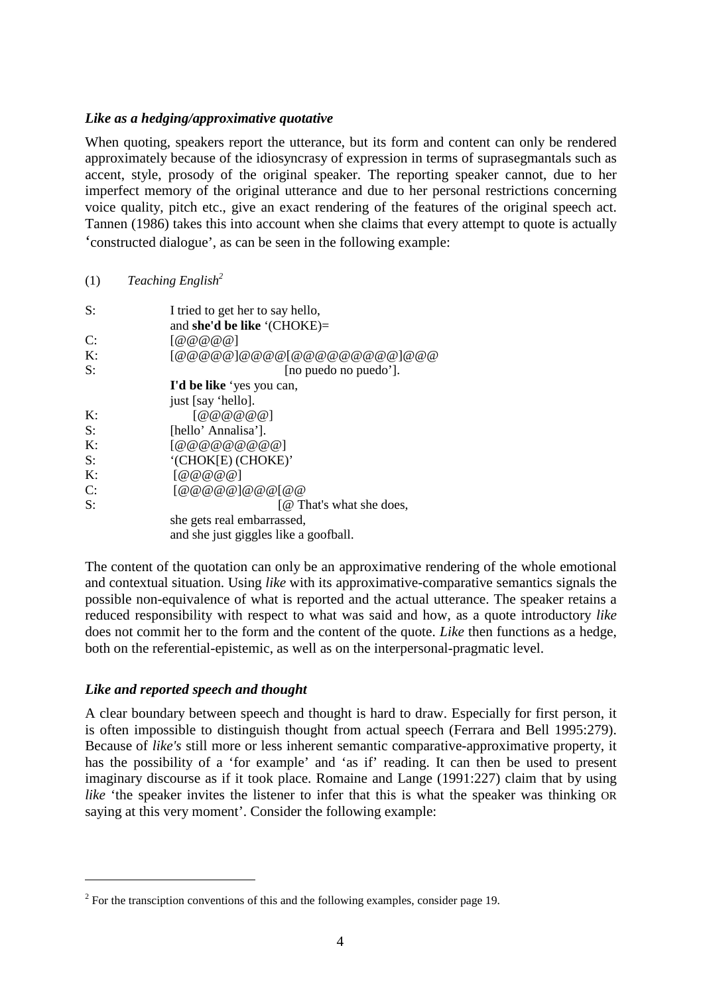#### *Like as a hedging/approximative quotative*

When quoting, speakers report the utterance, but its form and content can only be rendered approximately because of the idiosyncrasy of expression in terms of suprasegmantals such as accent, style, prosody of the original speaker. The reporting speaker cannot, due to her imperfect memory of the original utterance and due to her personal restrictions concerning voice quality, pitch etc., give an exact rendering of the features of the original speech act. Tannen (1986) takes this into account when she claims that every attempt to quote is actually 'constructed dialogue', as can be seen in the following example:

#### (1) *Teaching English<sup>2</sup>*

| S:             | I tried to get her to say hello,                   |
|----------------|----------------------------------------------------|
|                | and she'd be like '(CHOKE)=                        |
| C:             | $\lceil \omega \omega \omega \omega \omega \rceil$ |
| K:             | $[@@@@@]@@@@[@@@@@@@@@]@@@$                        |
| S:             | [no puedo no puedo'].                              |
|                | I'd be like 'yes you can,                          |
|                | just [say 'hello].                                 |
| $\mathbf{K}$ : | [@ @ @ @ @ @ @ @                                   |
| S:             | [hello' Annalisa'].                                |
| K:             | [@ @ @ @ @ @ @ @ @ @ @ @0                          |
| $S$ :          | '(CHOK[E) (CHOKE)'                                 |
| K:             | [@@@@@]                                            |
| C:             | [@ @ @ @ @] @ @ @[@]                               |
| S:             | [@ That's what she does,                           |
|                | she gets real embarrassed,                         |
|                | and she just giggles like a goofball.              |
|                |                                                    |

The content of the quotation can only be an approximative rendering of the whole emotional and contextual situation. Using *like* with its approximative-comparative semantics signals the possible non-equivalence of what is reported and the actual utterance. The speaker retains a reduced responsibility with respect to what was said and how, as a quote introductory *like* does not commit her to the form and the content of the quote. *Like* then functions as a hedge, both on the referential-epistemic, as well as on the interpersonal-pragmatic level.

### *Like and reported speech and thought*

 $\overline{a}$ 

A clear boundary between speech and thought is hard to draw. Especially for first person, it is often impossible to distinguish thought from actual speech (Ferrara and Bell 1995:279). Because of *like's* still more or less inherent semantic comparative-approximative property, it has the possibility of a 'for example' and 'as if' reading. It can then be used to present imaginary discourse as if it took place. Romaine and Lange (1991:227) claim that by using *like* 'the speaker invites the listener to infer that this is what the speaker was thinking OR saying at this very moment'. Consider the following example:

 $2^2$  For the transciption conventions of this and the following examples, consider page 19.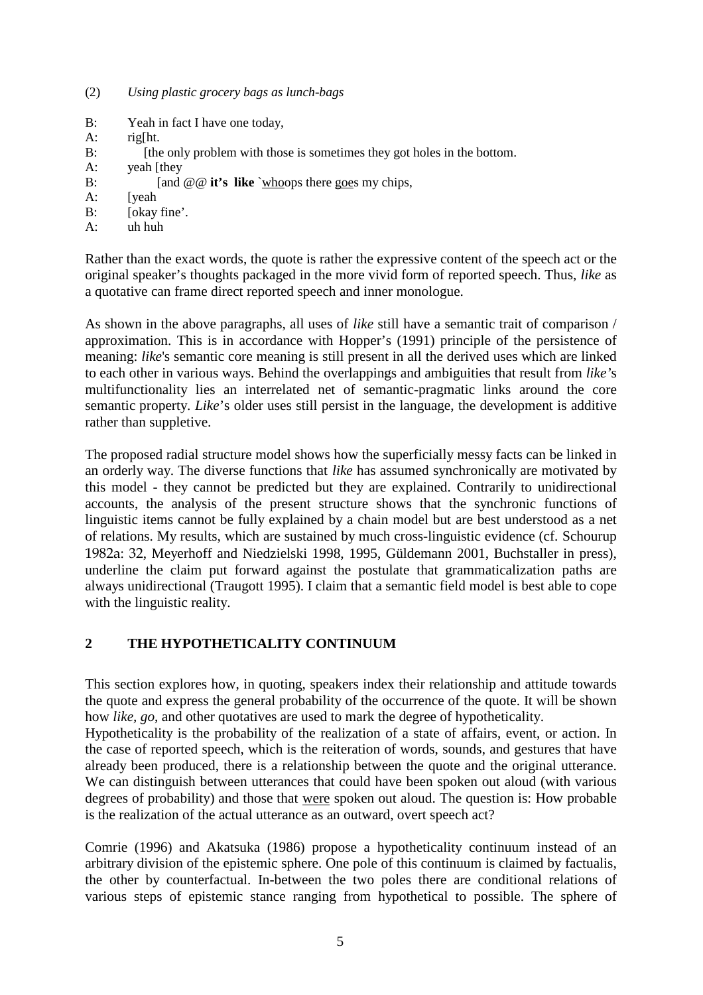- B: Yeah in fact I have one today,
- A: rig[ht.
- B: [the only problem with those is sometimes they got holes in the bottom.]
- A: yeah [they
- B: [and  $@@$  **it's like** `whoops there goes my chips,
- A: [yeah
- B: [okay fine'.]
- A: uh huh

Rather than the exact words, the quote is rather the expressive content of the speech act or the original speaker's thoughts packaged in the more vivid form of reported speech. Thus, *like* as a quotative can frame direct reported speech and inner monologue.

As shown in the above paragraphs, all uses of *like* still have a semantic trait of comparison / approximation. This is in accordance with Hopper's (1991) principle of the persistence of meaning: *like*'s semantic core meaning is still present in all the derived uses which are linked to each other in various ways. Behind the overlappings and ambiguities that result from *like'*s multifunctionality lies an interrelated net of semantic-pragmatic links around the core semantic property. *Like*'s older uses still persist in the language, the development is additive rather than suppletive.

The proposed radial structure model shows how the superficially messy facts can be linked in an orderly way. The diverse functions that *like* has assumed synchronically are motivated by this model - they cannot be predicted but they are explained. Contrarily to unidirectional accounts, the analysis of the present structure shows that the synchronic functions of linguistic items cannot be fully explained by a chain model but are best understood as a net of relations. My results, which are sustained by much cross-linguistic evidence (cf. Schourup 1982a: 32, Meyerhoff and Niedzielski 1998, 1995, Güldemann 2001, Buchstaller in press), underline the claim put forward against the postulate that grammaticalization paths are always unidirectional (Traugott 1995). I claim that a semantic field model is best able to cope with the linguistic reality.

# **2 THE HYPOTHETICALITY CONTINUUM**

This section explores how, in quoting, speakers index their relationship and attitude towards the quote and express the general probability of the occurrence of the quote. It will be shown how *like, go*, and other quotatives are used to mark the degree of hypotheticality.

Hypotheticality is the probability of the realization of a state of affairs, event, or action. In the case of reported speech, which is the reiteration of words, sounds, and gestures that have already been produced, there is a relationship between the quote and the original utterance. We can distinguish between utterances that could have been spoken out aloud (with various degrees of probability) and those that were spoken out aloud. The question is: How probable is the realization of the actual utterance as an outward, overt speech act?

Comrie (1996) and Akatsuka (1986) propose a hypotheticality continuum instead of an arbitrary division of the epistemic sphere. One pole of this continuum is claimed by factualis, the other by counterfactual. In-between the two poles there are conditional relations of various steps of epistemic stance ranging from hypothetical to possible. The sphere of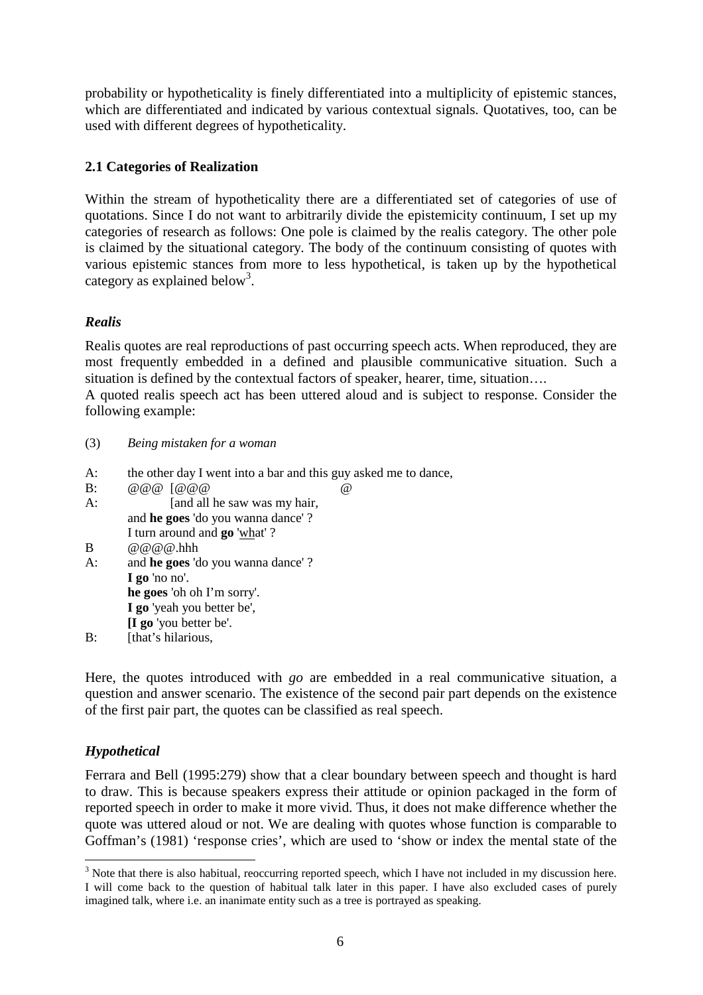probability or hypotheticality is finely differentiated into a multiplicity of epistemic stances, which are differentiated and indicated by various contextual signals*.* Quotatives, too, can be used with different degrees of hypotheticality.

# **2.1 Categories of Realization**

Within the stream of hypotheticality there are a differentiated set of categories of use of quotations. Since I do not want to arbitrarily divide the epistemicity continuum, I set up my categories of research as follows: One pole is claimed by the realis category. The other pole is claimed by the situational category. The body of the continuum consisting of quotes with various epistemic stances from more to less hypothetical, is taken up by the hypothetical category as explained below<sup>3</sup>.

### *Realis*

Realis quotes are real reproductions of past occurring speech acts. When reproduced, they are most frequently embedded in a defined and plausible communicative situation. Such a situation is defined by the contextual factors of speaker, hearer, time, situation… .

A quoted realis speech act has been uttered aloud and is subject to response. Consider the following example:

- (3) *Being mistaken for a woman*
- A: the other day I went into a bar and this guy asked me to dance,
- B: @@@ [@@@ @
- A: [and all he saw was my hair, and **he goes** 'do you wanna dance' ?
- I turn around and **go** 'what' ?
- $B \qquad \qquad @ @ @ @.$ hhh
- A: and **he goes** 'do you wanna dance' ? **I go** 'no no'. **he goes** 'oh oh I'm sorry'. **I go** 'yeah you better be',
	- **[I go** 'you better be'.
- B: [that's hilarious,

Here, the quotes introduced with *go* are embedded in a real communicative situation, a question and answer scenario. The existence of the second pair part depends on the existence of the first pair part, the quotes can be classified as real speech.

# *Hypothetical*

 $\overline{a}$ 

Ferrara and Bell (1995:279) show that a clear boundary between speech and thought is hard to draw. This is because speakers express their attitude or opinion packaged in the form of reported speech in order to make it more vivid. Thus, it does not make difference whether the quote was uttered aloud or not. We are dealing with quotes whose function is comparable to Goffman's (1981) 'response cries', which are used to 'show or index the mental state of the

 $3$  Note that there is also habitual, reoccurring reported speech, which I have not included in my discussion here. I will come back to the question of habitual talk later in this paper. I have also excluded cases of purely imagined talk, where i.e. an inanimate entity such as a tree is portrayed as speaking.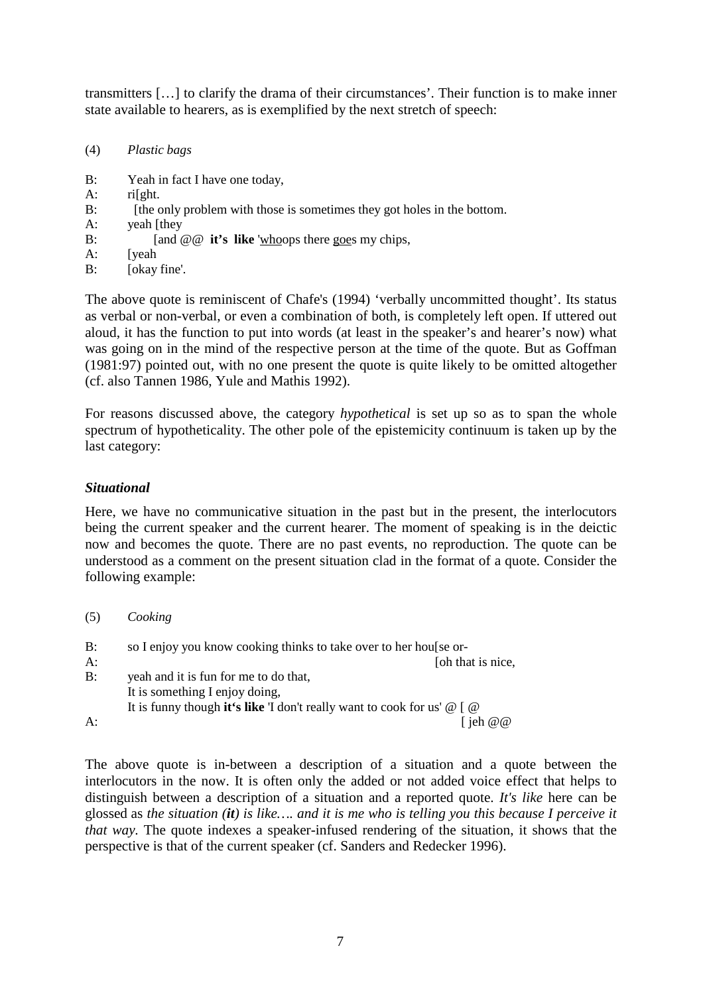transmitters [… ] to clarify the drama of their circumstances'. Their function is to make inner state available to hearers, as is exemplified by the next stretch of speech:

- (4) *Plastic bags*
- B: Yeah in fact I have one today,
- A: ri[ght.
- B: [the only problem with those is sometimes they got holes in the bottom.]
- A: yeah [they
- B: [and  $@@$  **it's like** 'whoops there goes my chips,
- A: [yeah
- B: [okay fine'.

The above quote is reminiscent of Chafe's (1994) 'verbally uncommitted thought'. Its status as verbal or non-verbal, or even a combination of both, is completely left open. If uttered out aloud, it has the function to put into words (at least in the speaker's and hearer's now) what was going on in the mind of the respective person at the time of the quote. But as Goffman (1981:97) pointed out, with no one present the quote is quite likely to be omitted altogether (cf. also Tannen 1986, Yule and Mathis 1992).

For reasons discussed above, the category *hypothetical* is set up so as to span the whole spectrum of hypotheticality. The other pole of the epistemicity continuum is taken up by the last category:

### *Situational*

Here, we have no communicative situation in the past but in the present, the interlocutors being the current speaker and the current hearer. The moment of speaking is in the deictic now and becomes the quote. There are no past events, no reproduction. The quote can be understood as a comment on the present situation clad in the format of a quote. Consider the following example:

| (5) | Cooking                                                                               |
|-----|---------------------------------------------------------------------------------------|
| B:  | so I enjoy you know cooking thinks to take over to her houlse or-                     |
| A:  | [oh that is nice,                                                                     |
| B:  | yeah and it is fun for me to do that,                                                 |
|     | It is something I enjoy doing,                                                        |
|     | It is funny though it's like 'I don't really want to cook for us' $\omega$ [ $\omega$ |
| A:  | ieh $\omega$ $\omega$                                                                 |

The above quote is in-between a description of a situation and a quote between the interlocutors in the now. It is often only the added or not added voice effect that helps to distinguish between a description of a situation and a reported quote. *It's like* here can be glossed as *the situation (it) is like… . and it is me who is telling you this because I perceive it that way.* The quote indexes a speaker-infused rendering of the situation, it shows that the perspective is that of the current speaker (cf. Sanders and Redecker 1996).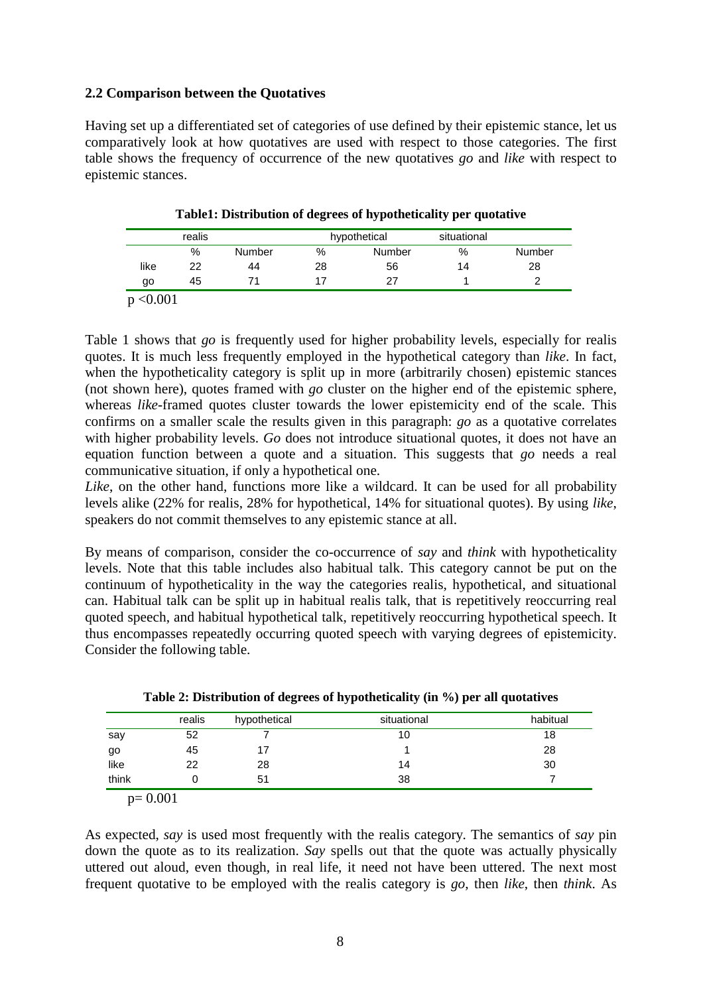### **2.2 Comparison between the Quotatives**

Having set up a differentiated set of categories of use defined by their epistemic stance, let us comparatively look at how quotatives are used with respect to those categories. The first table shows the frequency of occurrence of the new quotatives *go* and *like* with respect to epistemic stances.

|      | realis |        |    | hypothetical | situational |        |
|------|--------|--------|----|--------------|-------------|--------|
|      | %      | Number | %  | Number       | $\%$        | Number |
| like | 22     | 44     | 28 | 56           | 14          | 28     |
| go   | 45     |        |    | 27           |             |        |

**Table1: Distribution of degrees of hypotheticality per quotative**

 $p < 0.001$ 

Table 1 shows that *go* is frequently used for higher probability levels, especially for realis quotes. It is much less frequently employed in the hypothetical category than *like*. In fact, when the hypotheticality category is split up in more (arbitrarily chosen) epistemic stances (not shown here), quotes framed with *go* cluster on the higher end of the epistemic sphere, whereas *like*-framed quotes cluster towards the lower epistemicity end of the scale. This confirms on a smaller scale the results given in this paragraph: *go* as a quotative correlates with higher probability levels. *Go* does not introduce situational quotes, it does not have an equation function between a quote and a situation. This suggests that *go* needs a real communicative situation, if only a hypothetical one.

Like, on the other hand, functions more like a wildcard. It can be used for all probability levels alike (22% for realis, 28% for hypothetical, 14% for situational quotes). By using *like*, speakers do not commit themselves to any epistemic stance at all.

By means of comparison, consider the co-occurrence of *say* and *think* with hypotheticality levels. Note that this table includes also habitual talk. This category cannot be put on the continuum of hypotheticality in the way the categories realis, hypothetical, and situational can. Habitual talk can be split up in habitual realis talk, that is repetitively reoccurring real quoted speech, and habitual hypothetical talk, repetitively reoccurring hypothetical speech. It thus encompasses repeatedly occurring quoted speech with varying degrees of epistemicity. Consider the following table.

|       | realis | hypothetical | situational | habitual |
|-------|--------|--------------|-------------|----------|
| say   | 52     |              | 10          | 18       |
| go    | 45     |              |             | 28       |
| like  | 22     | 28           | 14          | 30       |
| think |        | 51           | 38          |          |

p= 0.001

As expected, *say* is used most frequently with the realis category. The semantics of *say* pin down the quote as to its realization. *Say* spells out that the quote was actually physically uttered out aloud, even though, in real life, it need not have been uttered. The next most frequent quotative to be employed with the realis category is *go*, then *like*, then *think*. As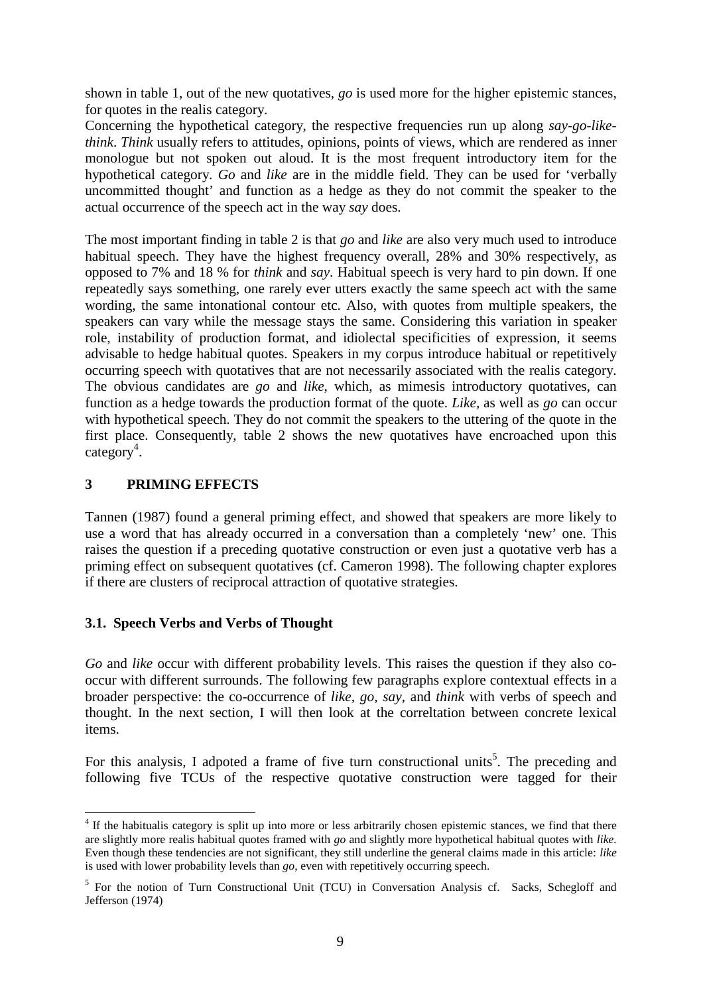shown in table 1, out of the new quotatives, *go* is used more for the higher epistemic stances, for quotes in the realis category.

Concerning the hypothetical category, the respective frequencies run up along *say-go-likethink*. *Think* usually refers to attitudes, opinions, points of views, which are rendered as inner monologue but not spoken out aloud. It is the most frequent introductory item for the hypothetical category. *Go* and *like* are in the middle field. They can be used for 'verbally uncommitted thought' and function as a hedge as they do not commit the speaker to the actual occurrence of the speech act in the way *say* does.

The most important finding in table 2 is that *go* and *like* are also very much used to introduce habitual speech. They have the highest frequency overall, 28% and 30% respectively, as opposed to 7% and 18 % for *think* and *say*. Habitual speech is very hard to pin down. If one repeatedly says something, one rarely ever utters exactly the same speech act with the same wording, the same intonational contour etc. Also, with quotes from multiple speakers, the speakers can vary while the message stays the same. Considering this variation in speaker role, instability of production format, and idiolectal specificities of expression, it seems advisable to hedge habitual quotes. Speakers in my corpus introduce habitual or repetitively occurring speech with quotatives that are not necessarily associated with the realis category. The obvious candidates are *go* and *like*, which, as mimesis introductory quotatives, can function as a hedge towards the production format of the quote. *Like,* as well as *go* can occur with hypothetical speech. They do not commit the speakers to the uttering of the quote in the first place. Consequently, table 2 shows the new quotatives have encroached upon this  $category<sup>4</sup>$ .

# **3 PRIMING EFFECTS**

 $\overline{a}$ 

Tannen (1987) found a general priming effect, and showed that speakers are more likely to use a word that has already occurred in a conversation than a completely 'new' one. This raises the question if a preceding quotative construction or even just a quotative verb has a priming effect on subsequent quotatives (cf. Cameron 1998). The following chapter explores if there are clusters of reciprocal attraction of quotative strategies.

# **3.1. Speech Verbs and Verbs of Thought**

*Go* and *like* occur with different probability levels. This raises the question if they also cooccur with different surrounds. The following few paragraphs explore contextual effects in a broader perspective: the co-occurrence of *like, go, say*, and *think* with verbs of speech and thought. In the next section, I will then look at the correltation between concrete lexical items.

For this analysis, I adpoted a frame of five turn constructional units<sup>5</sup>. The preceding and following five TCUs of the respective quotative construction were tagged for their

<sup>&</sup>lt;sup>4</sup> If the habitualis category is split up into more or less arbitrarily chosen epistemic stances, we find that there are slightly more realis habitual quotes framed with *go* and slightly more hypothetical habitual quotes with *like.* Even though these tendencies are not significant, they still underline the general claims made in this article: *like* is used with lower probability levels than *go*, even with repetitively occurring speech.

<sup>&</sup>lt;sup>5</sup> For the notion of Turn Constructional Unit (TCU) in Conversation Analysis cf. Sacks, Schegloff and Jefferson (1974)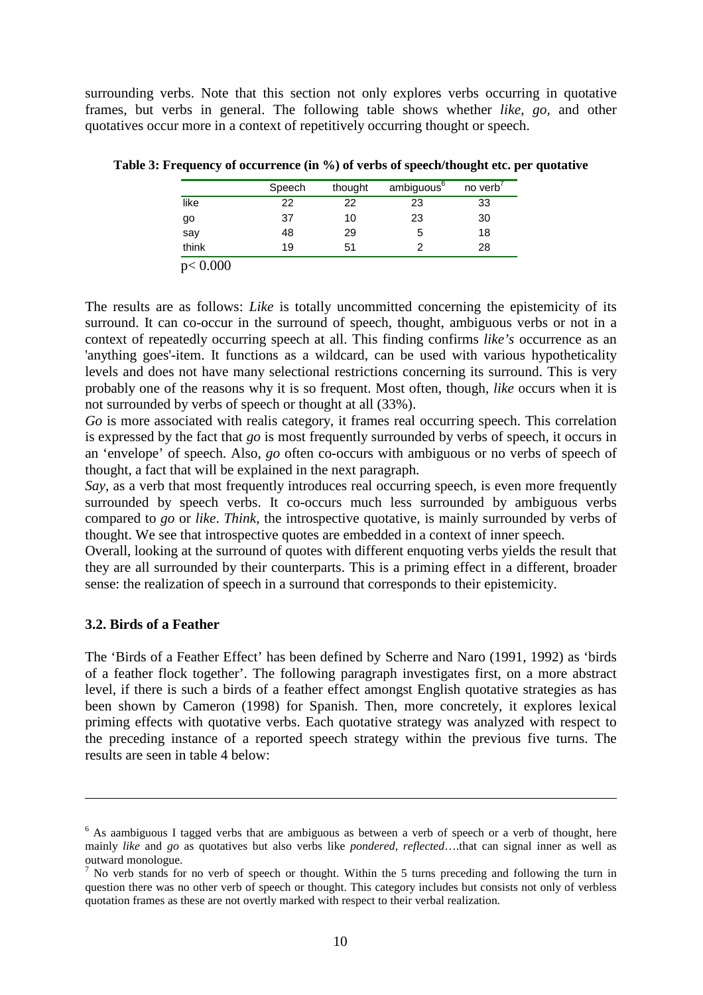surrounding verbs. Note that this section not only explores verbs occurring in quotative frames, but verbs in general. The following table shows whether *like, go,* and other quotatives occur more in a context of repetitively occurring thought or speech.

|       | Speech | thought | ambiguous <sup>6</sup> | no verb' |
|-------|--------|---------|------------------------|----------|
| like  | 22     | 22      | 23                     | 33       |
| go    | 37     | 10      | 23                     | 30       |
| say   | 48     | 29      | 5                      | 18       |
| think | 19     | 51      |                        | 28       |

**Table 3: Frequency of occurrence (in %) of verbs of speech/thought etc. per quotative**

p< 0.000

The results are as follows: *Like* is totally uncommitted concerning the epistemicity of its surround. It can co-occur in the surround of speech, thought, ambiguous verbs or not in a context of repeatedly occurring speech at all. This finding confirms *like's* occurrence as an 'anything goes'-item. It functions as a wildcard, can be used with various hypotheticality levels and does not have many selectional restrictions concerning its surround. This is very probably one of the reasons why it is so frequent. Most often, though, *like* occurs when it is not surrounded by verbs of speech or thought at all (33%).

*Go* is more associated with realis category, it frames real occurring speech. This correlation is expressed by the fact that *go* is most frequently surrounded by verbs of speech, it occurs in an 'envelope' of speech. Also, *go* often co-occurs with ambiguous or no verbs of speech of thought, a fact that will be explained in the next paragraph.

*Say*, as a verb that most frequently introduces real occurring speech, is even more frequently surrounded by speech verbs. It co-occurs much less surrounded by ambiguous verbs compared to *go* or *like*. *Think*, the introspective quotative, is mainly surrounded by verbs of thought. We see that introspective quotes are embedded in a context of inner speech.

Overall, looking at the surround of quotes with different enquoting verbs yields the result that they are all surrounded by their counterparts. This is a priming effect in a different, broader sense: the realization of speech in a surround that corresponds to their epistemicity.

#### **3.2. Birds of a Feather**

 $\overline{a}$ 

The 'Birds of a Feather Effect' has been defined by Scherre and Naro (1991, 1992) as 'birds of a feather flock together'. The following paragraph investigates first, on a more abstract level, if there is such a birds of a feather effect amongst English quotative strategies as has been shown by Cameron (1998) for Spanish. Then, more concretely, it explores lexical priming effects with quotative verbs. Each quotative strategy was analyzed with respect to the preceding instance of a reported speech strategy within the previous five turns. The results are seen in table 4 below:

<sup>&</sup>lt;sup>6</sup> As aambiguous I tagged verbs that are ambiguous as between a verb of speech or a verb of thought, here mainly *like* and *go* as quotatives but also verbs like *pondered*, *reflected*… .that can signal inner as well as outward monologue.

 $<sup>7</sup>$  No verb stands for no verb of speech or thought. Within the 5 turns preceding and following the turn in</sup> question there was no other verb of speech or thought. This category includes but consists not only of verbless quotation frames as these are not overtly marked with respect to their verbal realization.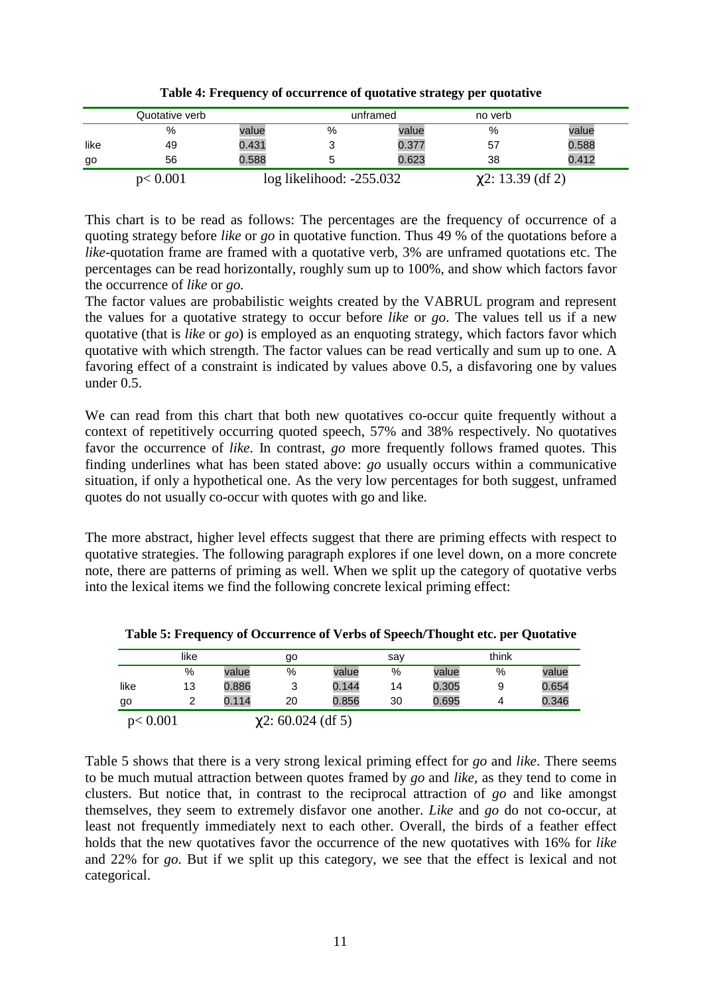|      | Quotative verb |       |                              | unframed | no verb                |       |
|------|----------------|-------|------------------------------|----------|------------------------|-------|
|      | %              | value | %                            | value    | %                      | value |
| like | 49             | 0.431 | າ<br>ت                       | 0.377    | 57                     | 0.588 |
| go   | 56             | 0.588 |                              | 0.623    | 38                     | 0.412 |
|      | p < 0.001      |       | $log$ likelihood: $-255.032$ |          | $\chi$ 2: 13.39 (df 2) |       |

**Table 4: Frequency of occurrence of quotative strategy per quotative**

This chart is to be read as follows: The percentages are the frequency of occurrence of a quoting strategy before *like* or *go* in quotative function. Thus 49 % of the quotations before a *like*-quotation frame are framed with a quotative verb, 3% are unframed quotations etc. The percentages can be read horizontally, roughly sum up to 100%, and show which factors favor the occurrence of *like* or *go.*

The factor values are probabilistic weights created by the VABRUL program and represent the values for a quotative strategy to occur before *like* or *go*. The values tell us if a new quotative (that is *like* or *go*) is employed as an enquoting strategy, which factors favor which quotative with which strength. The factor values can be read vertically and sum up to one. A favoring effect of a constraint is indicated by values above 0.5, a disfavoring one by values under 0.5.

We can read from this chart that both new quotatives co-occur quite frequently without a context of repetitively occurring quoted speech, 57% and 38% respectively. No quotatives favor the occurrence of *like*. In contrast, *go* more frequently follows framed quotes. This finding underlines what has been stated above: *go* usually occurs within a communicative situation, if only a hypothetical one. As the very low percentages for both suggest, unframed quotes do not usually co-occur with quotes with go and like.

The more abstract, higher level effects suggest that there are priming effects with respect to quotative strategies. The following paragraph explores if one level down, on a more concrete note, there are patterns of priming as well. When we split up the category of quotative verbs into the lexical items we find the following concrete lexical priming effect:

|         | like |       | go                      |       | sav |       | think |       |
|---------|------|-------|-------------------------|-------|-----|-------|-------|-------|
|         | %    | value | %                       | value | %   | value | %     | value |
| like    | 13   | 0.886 | 3                       | 0.144 | 14  | 0.305 | 9     | 0.654 |
| go      | 2    | 0.114 | 20                      | 0.856 | 30  | 0.695 | 4     | 0.346 |
| p<0.001 |      |       | $\chi$ 2: 60.024 (df 5) |       |     |       |       |       |

**Table 5: Frequency of Occurrence of Verbs of Speech/Thought etc. per Quotative**

Table 5 shows that there is a very strong lexical priming effect for *go* and *like*. There seems to be much mutual attraction between quotes framed by *go* and *like*, as they tend to come in clusters. But notice that, in contrast to the reciprocal attraction of *go* and like amongst themselves, they seem to extremely disfavor one another. *Like* and *go* do not co-occur, at least not frequently immediately next to each other. Overall, the birds of a feather effect holds that the new quotatives favor the occurrence of the new quotatives with 16% for *like* and 22% for *go*. But if we split up this category, we see that the effect is lexical and not categorical.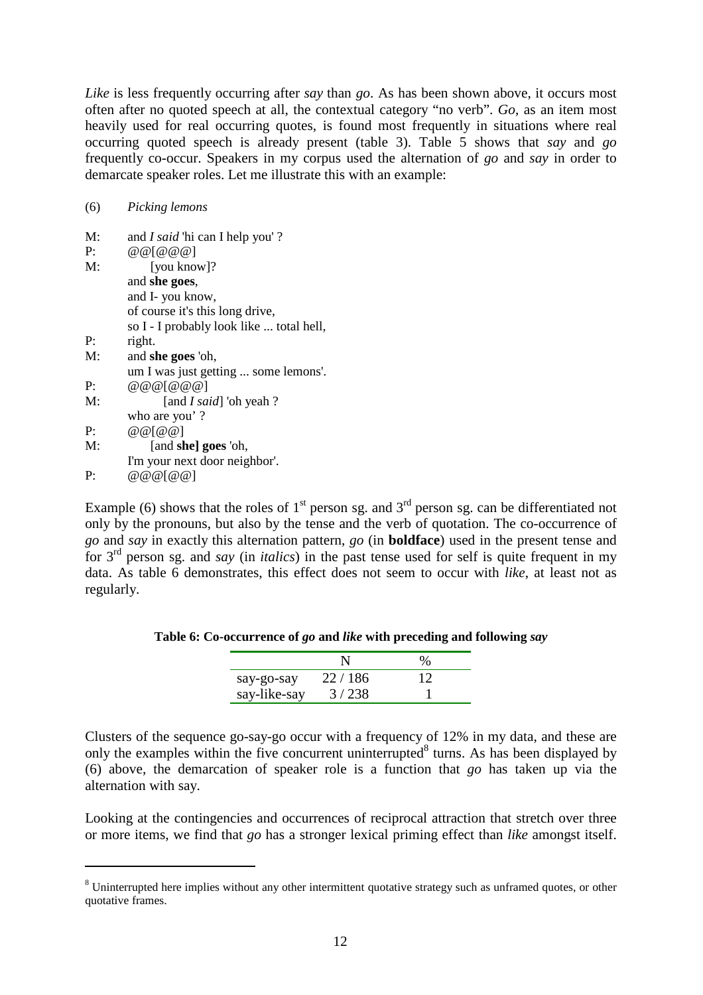*Like* is less frequently occurring after *say* than *go*. As has been shown above, it occurs most often after no quoted speech at all, the contextual category "no verb". *Go*, as an item most heavily used for real occurring quotes, is found most frequently in situations where real occurring quoted speech is already present (table 3). Table 5 shows that *say* and *go* frequently co-occur. Speakers in my corpus used the alternation of *go* and *say* in order to demarcate speaker roles. Let me illustrate this with an example:

#### (6) *Picking lemons*

 $\overline{a}$ 

| M: | and <i>I said</i> 'hi can I help you'?   |
|----|------------------------------------------|
| P: | @ @ [ @ @ @ @]                           |
| M: | [you know]?                              |
|    | and she goes,                            |
|    | and I- you know,                         |
|    | of course it's this long drive,          |
|    | so I - I probably look like  total hell, |
| P: | right.                                   |
| M: | and she goes 'oh,                        |
|    | um I was just getting  some lemons'.     |
| P: | @ @ @ [ @ @ @ @]                         |
| M: | [and <i>I said</i> ] 'oh yeah ?          |
|    | who are you'?                            |
| P: | @@[@@]                                   |
| M: | [and she] goes 'oh,                      |
|    | I'm your next door neighbor'.            |
| P: | @ @ @ [ @ @]                             |

Example (6) shows that the roles of  $1<sup>st</sup>$  person sg. and  $3<sup>rd</sup>$  person sg. can be differentiated not only by the pronouns, but also by the tense and the verb of quotation. The co-occurrence of *go* and *say* in exactly this alternation pattern, *go* (in **boldface**) used in the present tense and for 3rd person sg. and *say* (in *italics*) in the past tense used for self is quite frequent in my data. As table 6 demonstrates, this effect does not seem to occur with *like*, at least not as regularly.

### **Table 6: Co-occurrence of** *go* **and** *like* **with preceding and following** *say*

| say-go-say   | 22/186 | 12 |
|--------------|--------|----|
| say-like-say | 3/238  |    |

Clusters of the sequence go-say-go occur with a frequency of 12% in my data, and these are only the examples within the five concurrent uninterrupted $8$  turns. As has been displayed by (6) above, the demarcation of speaker role is a function that *go* has taken up via the alternation with say.

Looking at the contingencies and occurrences of reciprocal attraction that stretch over three or more items, we find that *go* has a stronger lexical priming effect than *like* amongst itself.

 $8$  Uninterrupted here implies without any other intermittent quotative strategy such as unframed quotes, or other quotative frames.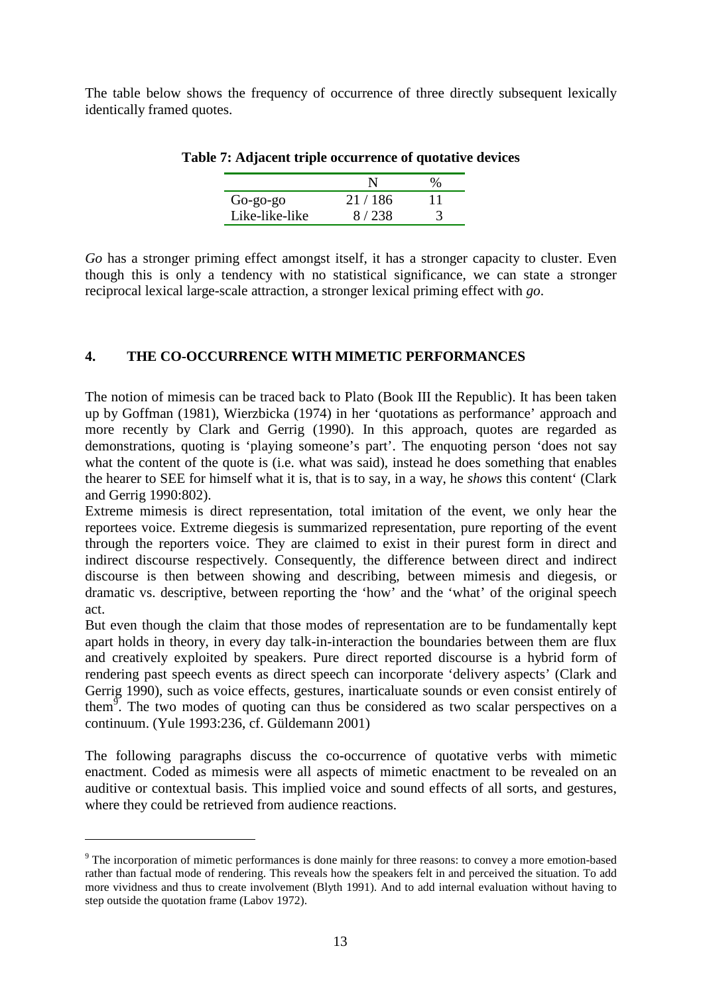The table below shows the frequency of occurrence of three directly subsequent lexically identically framed quotes.

| $Go$ -go-go    | 21/186  |  |
|----------------|---------|--|
| Like-like-like | 8 / 238 |  |

|  | Table 7: Adjacent triple occurrence of quotative devices |  |  |
|--|----------------------------------------------------------|--|--|
|  |                                                          |  |  |

*Go* has a stronger priming effect amongst itself, it has a stronger capacity to cluster. Even though this is only a tendency with no statistical significance, we can state a stronger reciprocal lexical large-scale attraction, a stronger lexical priming effect with *go*.

# **4. THE CO-OCCURRENCE WITH MIMETIC PERFORMANCES**

The notion of mimesis can be traced back to Plato (Book III the Republic). It has been taken up by Goffman (1981), Wierzbicka (1974) in her 'quotations as performance' approach and more recently by Clark and Gerrig (1990). In this approach, quotes are regarded as demonstrations, quoting is 'playing someone's part'. The enquoting person 'does not say what the content of the quote is (i.e. what was said), instead he does something that enables the hearer to SEE for himself what it is, that is to say, in a way, he *shows* this content' (Clark and Gerrig 1990:802).

Extreme mimesis is direct representation, total imitation of the event, we only hear the reportees voice. Extreme diegesis is summarized representation, pure reporting of the event through the reporters voice. They are claimed to exist in their purest form in direct and indirect discourse respectively. Consequently, the difference between direct and indirect discourse is then between showing and describing, between mimesis and diegesis, or dramatic vs. descriptive, between reporting the 'how' and the 'what' of the original speech act.

But even though the claim that those modes of representation are to be fundamentally kept apart holds in theory, in every day talk-in-interaction the boundaries between them are flux and creatively exploited by speakers. Pure direct reported discourse is a hybrid form of rendering past speech events as direct speech can incorporate 'delivery aspects' (Clark and Gerrig 1990), such as voice effects, gestures, inarticaluate sounds or even consist entirely of them<sup>9</sup>. The two modes of quoting can thus be considered as two scalar perspectives on a continuum. (Yule 1993:236, cf. Güldemann 2001)

The following paragraphs discuss the co-occurrence of quotative verbs with mimetic enactment. Coded as mimesis were all aspects of mimetic enactment to be revealed on an auditive or contextual basis. This implied voice and sound effects of all sorts, and gestures, where they could be retrieved from audience reactions.

 $\overline{a}$ 

<sup>&</sup>lt;sup>9</sup> The incorporation of mimetic performances is done mainly for three reasons: to convey a more emotion-based rather than factual mode of rendering. This reveals how the speakers felt in and perceived the situation. To add more vividness and thus to create involvement (Blyth 1991). And to add internal evaluation without having to step outside the quotation frame (Labov 1972).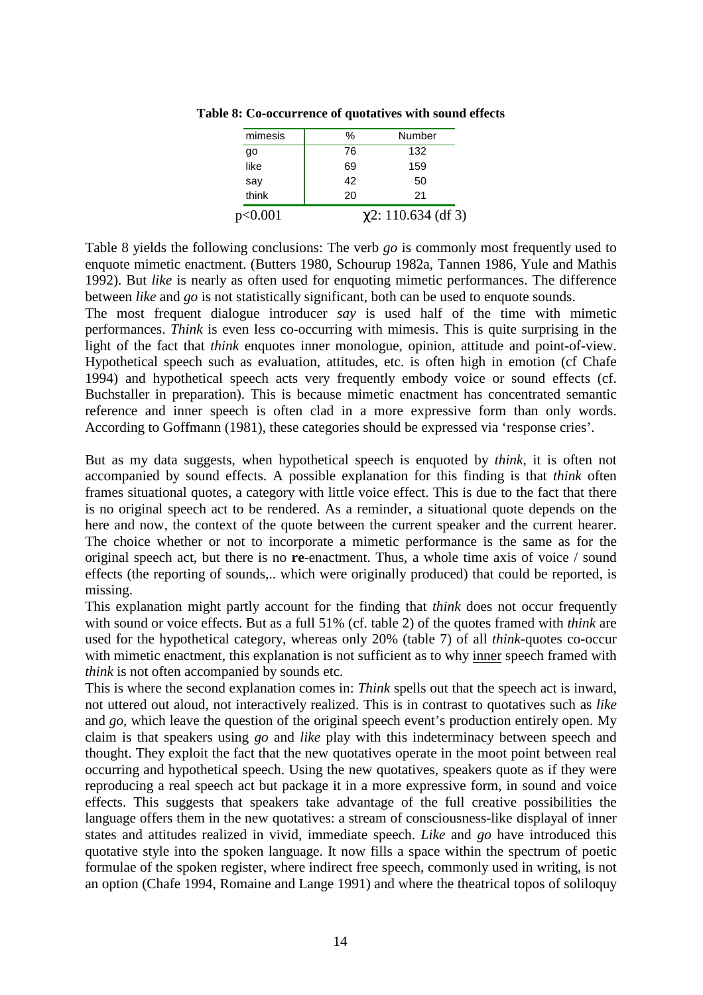| mimesis | %  | Number                   |
|---------|----|--------------------------|
| go      | 76 | 132                      |
| like    | 69 | 159                      |
| say     | 42 | 50                       |
| think   | 20 | 21                       |
| p<0.001 |    | $\chi$ 2: 110.634 (df 3) |

**Table 8: Co-occurrence of quotatives with sound effects**

Table 8 yields the following conclusions: The verb *go* is commonly most frequently used to enquote mimetic enactment. (Butters 1980, Schourup 1982a, Tannen 1986, Yule and Mathis 1992). But *like* is nearly as often used for enquoting mimetic performances. The difference between *like* and *go* is not statistically significant, both can be used to enquote sounds.

The most frequent dialogue introducer *say* is used half of the time with mimetic performances. *Think* is even less co-occurring with mimesis. This is quite surprising in the light of the fact that *think* enquotes inner monologue, opinion, attitude and point-of-view. Hypothetical speech such as evaluation, attitudes, etc. is often high in emotion (cf Chafe 1994) and hypothetical speech acts very frequently embody voice or sound effects (cf. Buchstaller in preparation). This is because mimetic enactment has concentrated semantic reference and inner speech is often clad in a more expressive form than only words. According to Goffmann (1981), these categories should be expressed via 'response cries'.

But as my data suggests, when hypothetical speech is enquoted by *think*, it is often not accompanied by sound effects. A possible explanation for this finding is that *think* often frames situational quotes, a category with little voice effect. This is due to the fact that there is no original speech act to be rendered. As a reminder, a situational quote depends on the here and now, the context of the quote between the current speaker and the current hearer. The choice whether or not to incorporate a mimetic performance is the same as for the original speech act, but there is no **re**-enactment. Thus, a whole time axis of voice / sound effects (the reporting of sounds,.. which were originally produced) that could be reported, is missing.

This explanation might partly account for the finding that *think* does not occur frequently with sound or voice effects. But as a full 51% (cf. table 2) of the quotes framed with *think* are used for the hypothetical category, whereas only 20% (table 7) of all *think*-quotes co-occur with mimetic enactment, this explanation is not sufficient as to why inner speech framed with *think* is not often accompanied by sounds etc.

This is where the second explanation comes in: *Think* spells out that the speech act is inward, not uttered out aloud, not interactively realized. This is in contrast to quotatives such as *like* and *go*, which leave the question of the original speech event's production entirely open. My claim is that speakers using *go* and *like* play with this indeterminacy between speech and thought. They exploit the fact that the new quotatives operate in the moot point between real occurring and hypothetical speech. Using the new quotatives, speakers quote as if they were reproducing a real speech act but package it in a more expressive form, in sound and voice effects. This suggests that speakers take advantage of the full creative possibilities the language offers them in the new quotatives: a stream of consciousness-like displayal of inner states and attitudes realized in vivid, immediate speech. *Like* and *go* have introduced this quotative style into the spoken language. It now fills a space within the spectrum of poetic formulae of the spoken register, where indirect free speech, commonly used in writing, is not an option (Chafe 1994, Romaine and Lange 1991) and where the theatrical topos of soliloquy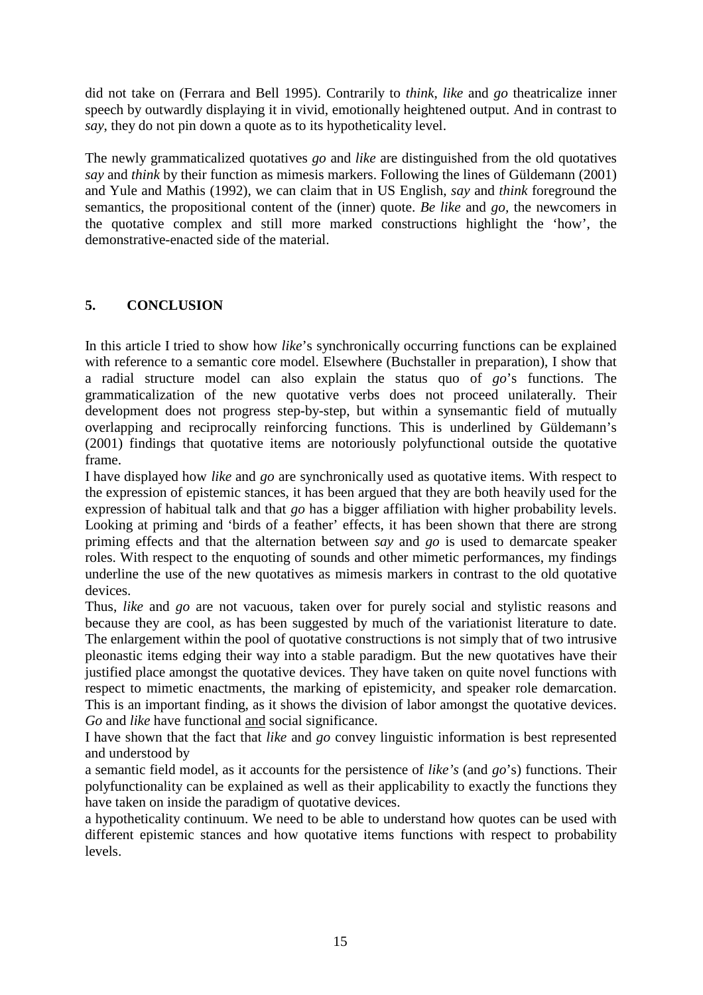did not take on (Ferrara and Bell 1995). Contrarily to *think*, *like* and *go* theatricalize inner speech by outwardly displaying it in vivid, emotionally heightened output. And in contrast to *say*, they do not pin down a quote as to its hypotheticality level.

The newly grammaticalized quotatives *go* and *like* are distinguished from the old quotatives *say* and *think* by their function as mimesis markers. Following the lines of Güldemann (2001) and Yule and Mathis (1992), we can claim that in US English, *say* and *think* foreground the semantics, the propositional content of the (inner) quote. *Be like* and *go,* the newcomers in the quotative complex and still more marked constructions highlight the 'how', the demonstrative-enacted side of the material.

# **5. CONCLUSION**

In this article I tried to show how *like*'s synchronically occurring functions can be explained with reference to a semantic core model. Elsewhere (Buchstaller in preparation), I show that a radial structure model can also explain the status quo of *go*'s functions. The grammaticalization of the new quotative verbs does not proceed unilaterally. Their development does not progress step-by-step, but within a synsemantic field of mutually overlapping and reciprocally reinforcing functions. This is underlined by Güldemann's (2001) findings that quotative items are notoriously polyfunctional outside the quotative frame.

I have displayed how *like* and *go* are synchronically used as quotative items. With respect to the expression of epistemic stances, it has been argued that they are both heavily used for the expression of habitual talk and that *go* has a bigger affiliation with higher probability levels. Looking at priming and 'birds of a feather' effects, it has been shown that there are strong priming effects and that the alternation between *say* and *go* is used to demarcate speaker roles. With respect to the enquoting of sounds and other mimetic performances, my findings underline the use of the new quotatives as mimesis markers in contrast to the old quotative devices.

Thus, *like* and *go* are not vacuous, taken over for purely social and stylistic reasons and because they are cool, as has been suggested by much of the variationist literature to date. The enlargement within the pool of quotative constructions is not simply that of two intrusive pleonastic items edging their way into a stable paradigm. But the new quotatives have their justified place amongst the quotative devices. They have taken on quite novel functions with respect to mimetic enactments, the marking of epistemicity, and speaker role demarcation. This is an important finding, as it shows the division of labor amongst the quotative devices. *Go* and *like* have functional and social significance.

I have shown that the fact that *like* and *go* convey linguistic information is best represented and understood by

a semantic field model, as it accounts for the persistence of *like's* (and *go*'s) functions. Their polyfunctionality can be explained as well as their applicability to exactly the functions they have taken on inside the paradigm of quotative devices.

a hypotheticality continuum. We need to be able to understand how quotes can be used with different epistemic stances and how quotative items functions with respect to probability levels.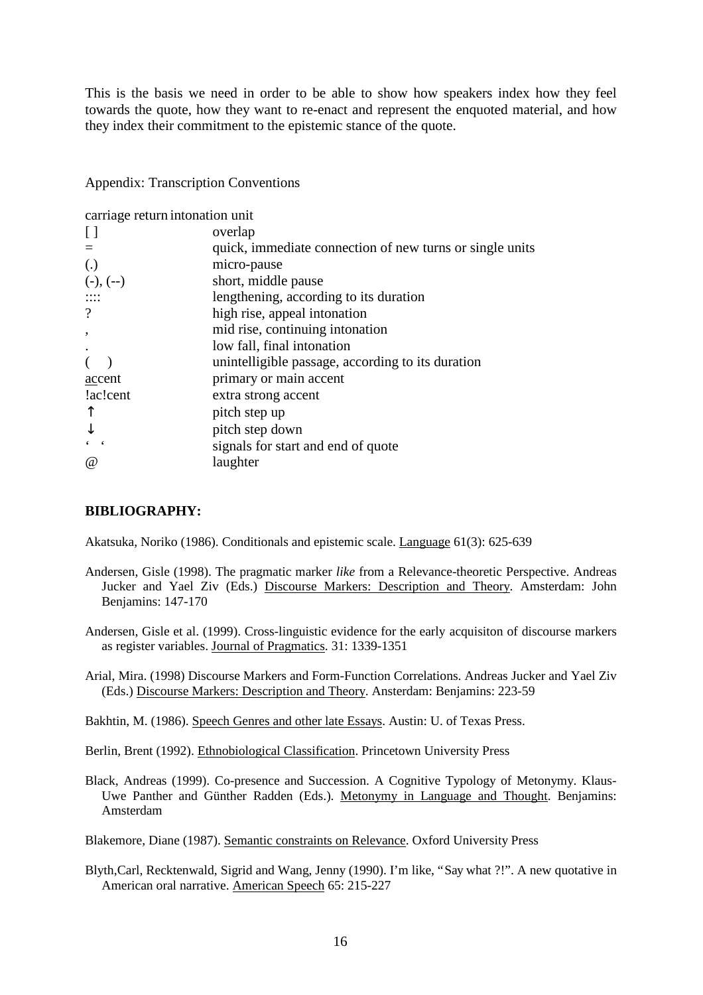This is the basis we need in order to be able to show how speakers index how they feel towards the quote, how they want to re-enact and represent the enquoted material, and how they index their commitment to the epistemic stance of the quote.

Appendix: Transcription Conventions

carriage return intonation unit

|                   | overlap                                                  |
|-------------------|----------------------------------------------------------|
|                   | quick, immediate connection of new turns or single units |
| $\left( .\right)$ | micro-pause                                              |
| $(-), (-)$        | short, middle pause                                      |
|                   | lengthening, according to its duration                   |
|                   | high rise, appeal intonation                             |
|                   | mid rise, continuing intonation                          |
|                   | low fall, final intonation                               |
|                   | unintelligible passage, according to its duration        |
| accent            | primary or main accent                                   |
| lac!cent          | extra strong accent                                      |
|                   | pitch step up                                            |
|                   | pitch step down                                          |
|                   | signals for start and end of quote                       |
| $\omega$          | laughter                                                 |
|                   |                                                          |

### **BIBLIOGRAPHY:**

Akatsuka, Noriko (1986). Conditionals and epistemic scale. Language 61(3): 625-639

- Andersen, Gisle (1998). The pragmatic marker *like* from a Relevance-theoretic Perspective. Andreas Jucker and Yael Ziv (Eds.) Discourse Markers: Description and Theory. Amsterdam: John Benjamins: 147-170
- Andersen, Gisle et al. (1999). Cross-linguistic evidence for the early acquisiton of discourse markers as register variables. Journal of Pragmatics. 31: 1339-1351
- Arial, Mira. (1998) Discourse Markers and Form-Function Correlations. Andreas Jucker and Yael Ziv (Eds.) Discourse Markers: Description and Theory. Ansterdam: Benjamins: 223-59

Bakhtin, M. (1986). Speech Genres and other late Essays. Austin: U. of Texas Press.

Berlin, Brent (1992). Ethnobiological Classification. Princetown University Press

Black, Andreas (1999). Co-presence and Succession. A Cognitive Typology of Metonymy. Klaus-Uwe Panther and Günther Radden (Eds.). Metonymy in Language and Thought. Benjamins: Amsterdam

Blakemore, Diane (1987). Semantic constraints on Relevance. Oxford University Press

Blyth,Carl, Recktenwald, Sigrid and Wang, Jenny (1990). I'm like, "Say what ?!". A new quotative in American oral narrative. American Speech 65: 215-227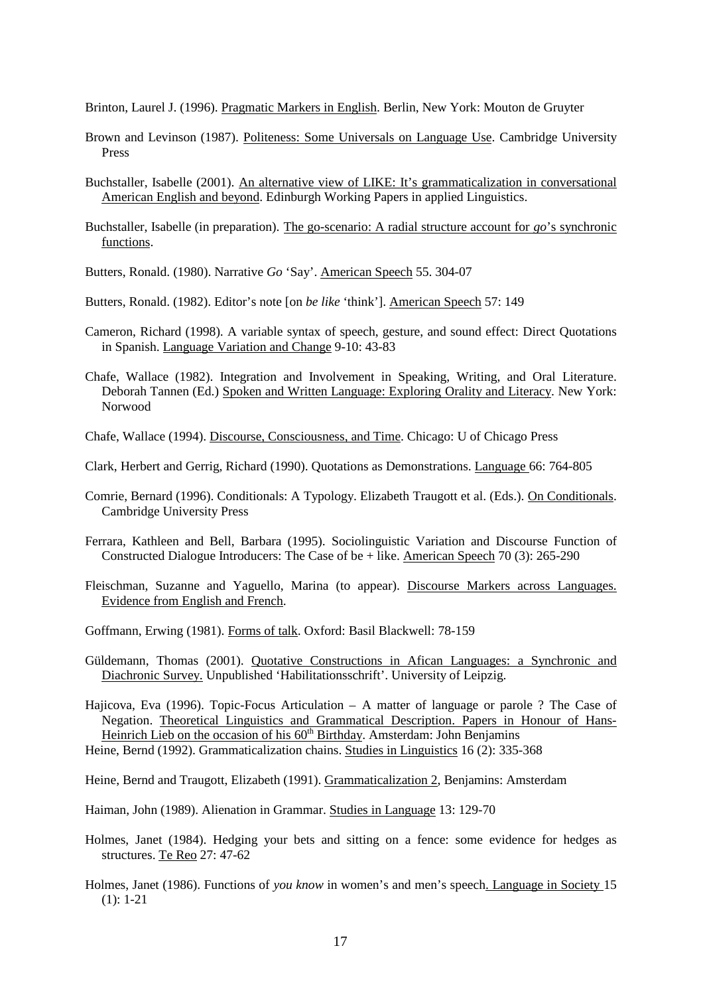Brinton, Laurel J. (1996). Pragmatic Markers in English. Berlin, New York: Mouton de Gruyter

- Brown and Levinson (1987). Politeness: Some Universals on Language Use. Cambridge University Press
- Buchstaller, Isabelle (2001). An alternative view of LIKE: It's grammaticalization in conversational American English and beyond. Edinburgh Working Papers in applied Linguistics.
- Buchstaller, Isabelle (in preparation). The go-scenario: A radial structure account for *go*'s synchronic functions.

Butters, Ronald. (1980). Narrative *Go* 'Say'. American Speech 55. 304-07

Butters, Ronald. (1982). Editor's note [on *be like* 'think']. American Speech 57: 149

- Cameron, Richard (1998). A variable syntax of speech, gesture, and sound effect: Direct Quotations in Spanish. Language Variation and Change 9-10: 43-83
- Chafe, Wallace (1982). Integration and Involvement in Speaking, Writing, and Oral Literature. Deborah Tannen (Ed.) Spoken and Written Language: Exploring Orality and Literacy. New York: Norwood

Chafe, Wallace (1994). Discourse, Consciousness, and Time. Chicago: U of Chicago Press

- Clark, Herbert and Gerrig, Richard (1990). Quotations as Demonstrations. Language 66: 764-805
- Comrie, Bernard (1996). Conditionals: A Typology. Elizabeth Traugott et al. (Eds.). On Conditionals. Cambridge University Press
- Ferrara, Kathleen and Bell, Barbara (1995). Sociolinguistic Variation and Discourse Function of Constructed Dialogue Introducers: The Case of be + like. American Speech 70 (3): 265-290
- Fleischman, Suzanne and Yaguello, Marina (to appear). Discourse Markers across Languages. Evidence from English and French.
- Goffmann, Erwing (1981). Forms of talk. Oxford: Basil Blackwell: 78-159
- Güldemann, Thomas (2001). Quotative Constructions in Afican Languages: a Synchronic and Diachronic Survey. Unpublished 'Habilitationsschrift'. University of Leipzig.
- Hajicova, Eva (1996). Topic-Focus Articulation A matter of language or parole ? The Case of Negation. Theoretical Linguistics and Grammatical Description. Papers in Honour of Hans-Heinrich Lieb on the occasion of his  $60<sup>th</sup>$  Birthday. Amsterdam: John Benjamins
- Heine, Bernd (1992). Grammaticalization chains. Studies in Linguistics 16 (2): 335-368

Heine, Bernd and Traugott, Elizabeth (1991). Grammaticalization 2, Benjamins: Amsterdam

Haiman, John (1989). Alienation in Grammar. Studies in Language 13: 129-70

- Holmes, Janet (1984). Hedging your bets and sitting on a fence: some evidence for hedges as structures. Te Reo 27: 47-62
- Holmes, Janet (1986). Functions of *you know* in women's and men's speech. Language in Society 15  $(1): 1-21$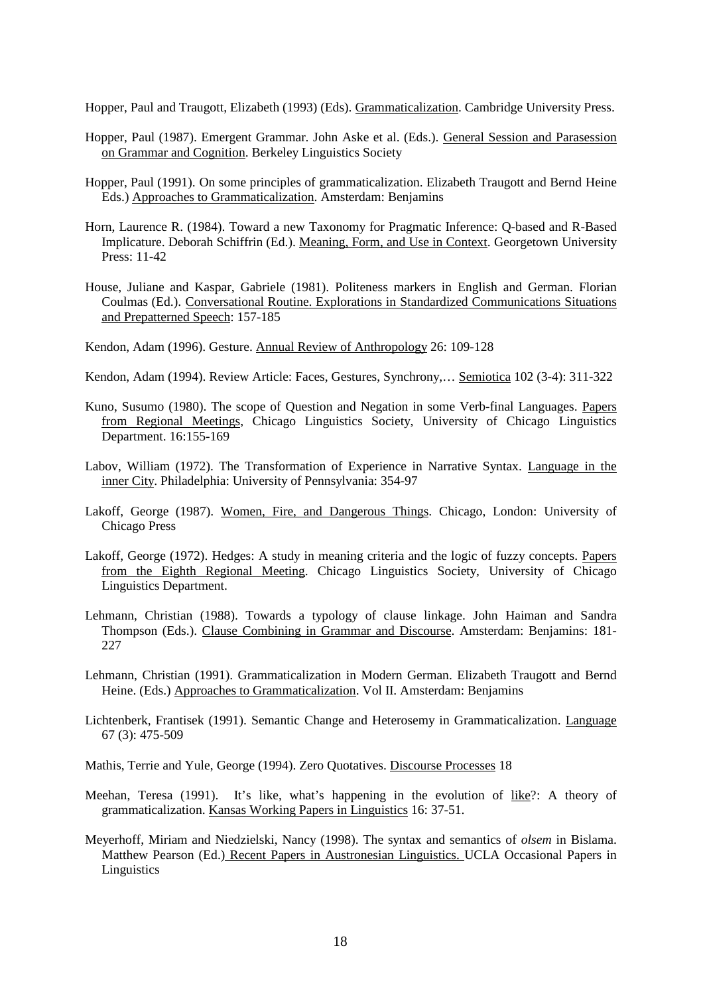Hopper, Paul and Traugott, Elizabeth (1993) (Eds). Grammaticalization. Cambridge University Press.

- Hopper, Paul (1987). Emergent Grammar. John Aske et al. (Eds.). General Session and Parasession on Grammar and Cognition. Berkeley Linguistics Society
- Hopper, Paul (1991). On some principles of grammaticalization. Elizabeth Traugott and Bernd Heine Eds.) Approaches to Grammaticalization. Amsterdam: Benjamins
- Horn, Laurence R. (1984). Toward a new Taxonomy for Pragmatic Inference: Q-based and R-Based Implicature. Deborah Schiffrin (Ed.). Meaning, Form, and Use in Context. Georgetown University Press: 11-42
- House, Juliane and Kaspar, Gabriele (1981). Politeness markers in English and German. Florian Coulmas (Ed.). Conversational Routine. Explorations in Standardized Communications Situations and Prepatterned Speech: 157-185

Kendon, Adam (1996). Gesture. Annual Review of Anthropology 26: 109-128

- Kendon, Adam (1994). Review Article: Faces, Gestures, Synchrony,… Semiotica 102 (3-4): 311-322
- Kuno, Susumo (1980). The scope of Question and Negation in some Verb-final Languages. Papers from Regional Meetings, Chicago Linguistics Society, University of Chicago Linguistics Department. 16:155-169
- Labov, William (1972). The Transformation of Experience in Narrative Syntax. Language in the inner City. Philadelphia: University of Pennsylvania: 354-97
- Lakoff, George (1987). Women, Fire, and Dangerous Things. Chicago, London: University of Chicago Press
- Lakoff, George (1972). Hedges: A study in meaning criteria and the logic of fuzzy concepts. Papers from the Eighth Regional Meeting. Chicago Linguistics Society, University of Chicago Linguistics Department.
- Lehmann, Christian (1988). Towards a typology of clause linkage. John Haiman and Sandra Thompson (Eds.). Clause Combining in Grammar and Discourse. Amsterdam: Benjamins: 181- 227
- Lehmann, Christian (1991). Grammaticalization in Modern German. Elizabeth Traugott and Bernd Heine. (Eds.) Approaches to Grammaticalization. Vol II. Amsterdam: Benjamins
- Lichtenberk, Frantisek (1991). Semantic Change and Heterosemy in Grammaticalization. Language 67 (3): 475-509

Mathis, Terrie and Yule, George (1994). Zero Quotatives. Discourse Processes 18

- Meehan, Teresa (1991). It's like, what's happening in the evolution of like?: A theory of grammaticalization. Kansas Working Papers in Linguistics 16: 37-51.
- Meyerhoff, Miriam and Niedzielski, Nancy (1998). The syntax and semantics of *olsem* in Bislama. Matthew Pearson (Ed.) Recent Papers in Austronesian Linguistics. UCLA Occasional Papers in Linguistics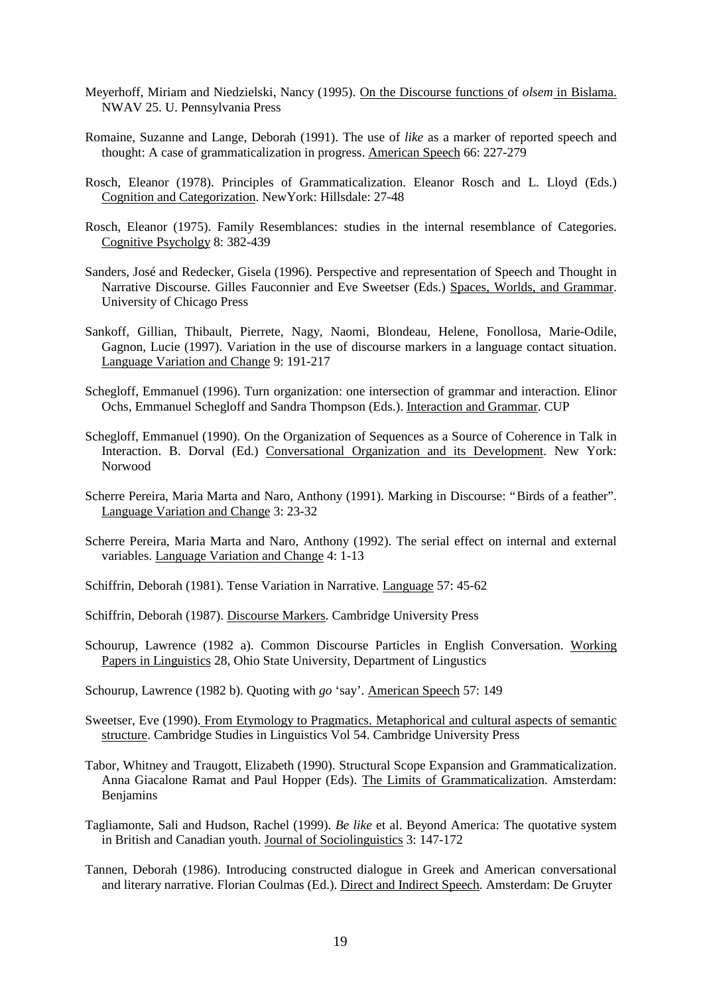- Meyerhoff, Miriam and Niedzielski, Nancy (1995). On the Discourse functions of *olsem* in Bislama. NWAV 25. U. Pennsylvania Press
- Romaine, Suzanne and Lange, Deborah (1991). The use of *like* as a marker of reported speech and thought: A case of grammaticalization in progress. American Speech 66: 227-279
- Rosch, Eleanor (1978). Principles of Grammaticalization. Eleanor Rosch and L. Lloyd (Eds.) Cognition and Categorization. NewYork: Hillsdale: 27-48
- Rosch, Eleanor (1975). Family Resemblances: studies in the internal resemblance of Categories. Cognitive Psycholgy 8: 382-439
- Sanders, José and Redecker, Gisela (1996). Perspective and representation of Speech and Thought in Narrative Discourse. Gilles Fauconnier and Eve Sweetser (Eds.) Spaces, Worlds, and Grammar. University of Chicago Press
- Sankoff, Gillian, Thibault, Pierrete, Nagy, Naomi, Blondeau, Helene, Fonollosa, Marie-Odile, Gagnon, Lucie (1997). Variation in the use of discourse markers in a language contact situation. Language Variation and Change 9: 191-217
- Schegloff, Emmanuel (1996). Turn organization: one intersection of grammar and interaction. Elinor Ochs, Emmanuel Schegloff and Sandra Thompson (Eds.). Interaction and Grammar. CUP
- Schegloff, Emmanuel (1990). On the Organization of Sequences as a Source of Coherence in Talk in Interaction. B. Dorval (Ed.) Conversational Organization and its Development. New York: Norwood
- Scherre Pereira, Maria Marta and Naro, Anthony (1991). Marking in Discourse: "Birds of a feather". Language Variation and Change 3: 23-32
- Scherre Pereira, Maria Marta and Naro, Anthony (1992). The serial effect on internal and external variables. Language Variation and Change 4: 1-13
- Schiffrin, Deborah (1981). Tense Variation in Narrative. Language 57: 45-62
- Schiffrin, Deborah (1987). Discourse Markers. Cambridge University Press
- Schourup, Lawrence (1982 a). Common Discourse Particles in English Conversation. Working Papers in Linguistics 28, Ohio State University, Department of Lingustics
- Schourup, Lawrence (1982 b). Quoting with *go* 'say'. American Speech 57: 149
- Sweetser, Eve (1990). From Etymology to Pragmatics. Metaphorical and cultural aspects of semantic structure. Cambridge Studies in Linguistics Vol 54. Cambridge University Press
- Tabor, Whitney and Traugott, Elizabeth (1990). Structural Scope Expansion and Grammaticalization. Anna Giacalone Ramat and Paul Hopper (Eds). The Limits of Grammaticalization. Amsterdam: Benjamins
- Tagliamonte, Sali and Hudson, Rachel (1999). *Be like* et al. Beyond America: The quotative system in British and Canadian youth. Journal of Sociolinguistics 3: 147-172
- Tannen, Deborah (1986). Introducing constructed dialogue in Greek and American conversational and literary narrative. Florian Coulmas (Ed.). Direct and Indirect Speech. Amsterdam: De Gruyter